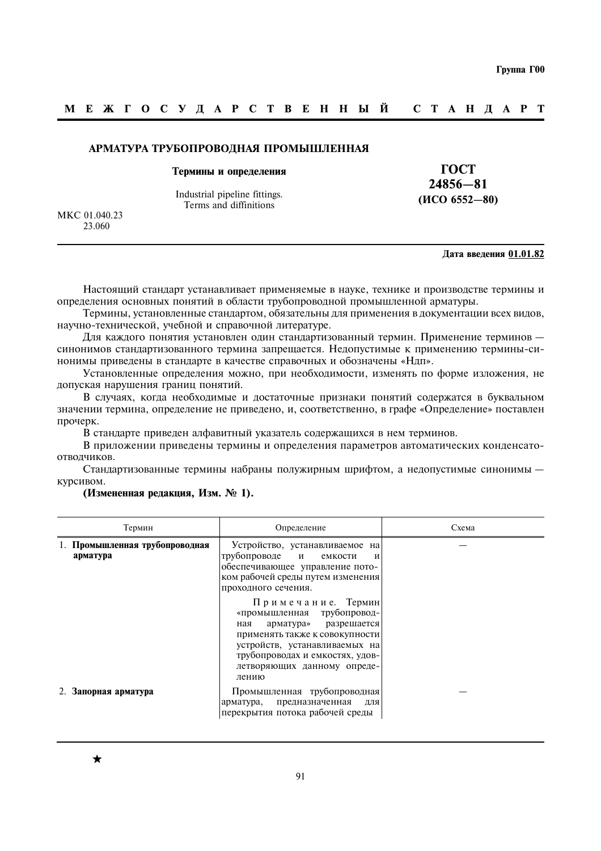#### МЕЖГОСУДАРСТВЕННЫЙ C T A H J A P T

#### АРМАТУРА ТРУБОПРОВОДНАЯ ПРОМЫШЛЕННАЯ

#### Термины и определения

Industrial pipeline fittings. Terms and diffinitions

**TOCT**  $24856 - 81$  $(MCO 6552 - 80)$ 

MKC 01.040.23 23.060

#### Дата введения 01.01.82

Настоящий стандарт устанавливает применяемые в науке, технике и производстве термины и определения основных понятий в области трубопроводной промышленной арматуры.

Термины, установленные стандартом, обязательны для применения в документации всех видов, научно-технической, учебной и справочной литературе.

Для каждого понятия установлен один стандартизованный термин. Применение терминов синонимов стандартизованного термина запрешается. Недопустимые к применению термины-синонимы приведены в стандарте в качестве справочных и обозначены «Ндп».

Установленные определения можно, при необходимости, изменять по форме изложения, не допуская нарушения границ понятий.

В случаях, когда необходимые и достаточные признаки понятий содержатся в буквальном значении термина, определение не приведено, и, соответственно, в графе «Определение» поставлен прочерк.

В стандарте приведен алфавитный указатель содержащихся в нем терминов.

В приложении приведены термины и определения параметров автоматических конденсатоотволчиков.

Стандартизованные термины набраны полужирным шрифтом, а недопустимые синонимы курсивом.

#### (Измененная редакция, Изм. № 1).

| Термин                                     | Определение                                                                                                                                                                                                                    | Схема |
|--------------------------------------------|--------------------------------------------------------------------------------------------------------------------------------------------------------------------------------------------------------------------------------|-------|
| 1. Промышленная трубопроводная<br>арматура | Устройство, устанавливаемое на<br>трубопроводе<br>$\mathbf{M}$<br>емкости<br>И<br>обеспечивающее управление пото-<br>ком рабочей среды путем изменения<br>проходного сечения.                                                  |       |
|                                            | Примечание. Термин<br>«промышленная трубопровод-<br>арматура» разрешается<br>ная<br>применять также к совокупности<br>устройств, устанавливаемых на<br>трубопроводах и емкостях, удов-<br>летворяющих данному опреде-<br>лению |       |
| 2. Запорная арматура                       | Промышленная трубопроводная<br>предназначенная<br>арматура,<br>ДЛЯ<br>перекрытия потока рабочей среды                                                                                                                          |       |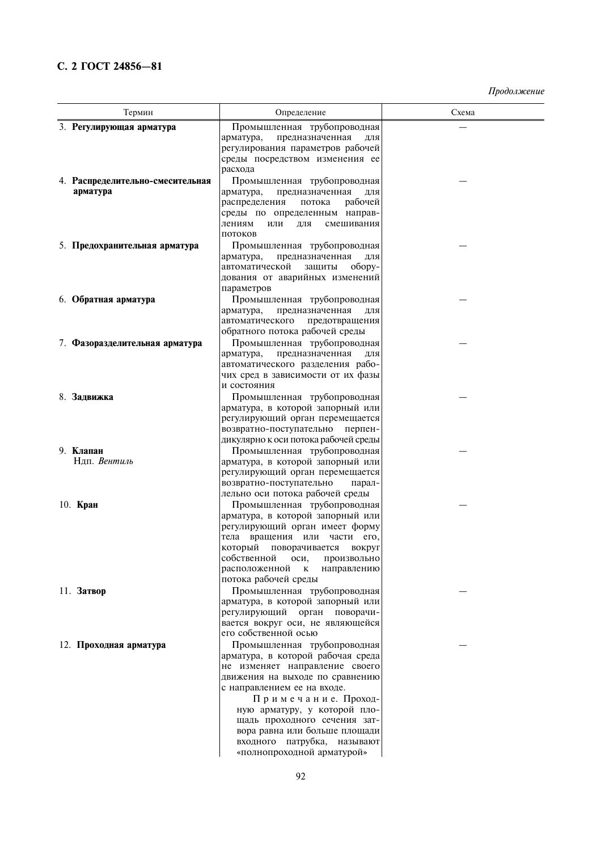# С. 2 ГОСТ 24856-81

| Термин                                       | Определение                                                           |  |
|----------------------------------------------|-----------------------------------------------------------------------|--|
| 3. Регулирующая арматура                     | Промышленная трубопроводная                                           |  |
|                                              | предназначенная<br>арматура,<br>ДЛЯ                                   |  |
|                                              | регулирования параметров рабочей                                      |  |
|                                              | среды посредством изменения ее                                        |  |
|                                              | расхода                                                               |  |
| 4. Распределительно-смесительная<br>арматура | Промышленная трубопроводная<br>арматура,<br>предназначенная<br>ДЛЯ    |  |
|                                              | рабочей<br>распределения<br>потока                                    |  |
|                                              | среды по определенным направ-                                         |  |
|                                              | лениям<br>смешивания<br>или<br>ДЛЯ                                    |  |
|                                              | ПОТОКОВ                                                               |  |
| 5. Предохранительная арматура                | Промышленная трубопроводная                                           |  |
|                                              | арматура,<br>предназначенная<br>ДЛЯ                                   |  |
|                                              | автоматической<br>обору-<br>защиты<br>дования от аварийных изменений  |  |
|                                              | параметров                                                            |  |
| 6. Обратная арматура                         | Промышленная трубопроводная                                           |  |
|                                              | предназначенная<br>арматура,<br>ДЛЯ                                   |  |
|                                              | автоматического<br>предотвращения                                     |  |
|                                              | обратного потока рабочей среды                                        |  |
| 7. Фазоразделительная арматура               | Промышленная трубопроводная                                           |  |
|                                              | предназначенная<br>арматура,<br>ДЛЯ                                   |  |
|                                              | автоматического разделения рабо-<br>чих сред в зависимости от их фазы |  |
|                                              | и состояния                                                           |  |
| 8. Задвижка                                  | Промышленная трубопроводная                                           |  |
|                                              | арматура, в которой запорный или                                      |  |
|                                              | регулирующий орган перемещается                                       |  |
|                                              | возвратно-поступательно<br>перпен-                                    |  |
|                                              | дикулярно к оси потока рабочей среды                                  |  |
| 9. Клапан<br>Ндп. Вентиль                    | Промышленная трубопроводная<br>арматура, в которой запорный или       |  |
|                                              | регулирующий орган перемещается                                       |  |
|                                              | возвратно-поступательно<br>парал-                                     |  |
|                                              | лельно оси потока рабочей среды                                       |  |
| $10.$ Кран                                   | Промышленная трубопроводная                                           |  |
|                                              | арматура, в которой запорный или                                      |  |
|                                              | регулирующий орган имеет форму                                        |  |
|                                              | тела вращения или части его,<br>поворачивается<br>который<br>вокруг   |  |
|                                              | собственной<br>оси,<br>произвольно                                    |  |
|                                              | расположенной<br>K<br>направлению                                     |  |
|                                              | потока рабочей среды                                                  |  |
| 11. Затвор                                   | Промышленная трубопроводная                                           |  |
|                                              | арматура, в которой запорный или                                      |  |
|                                              | регулирующий орган поворачи-<br>вается вокруг оси, не являющейся      |  |
|                                              | его собственной осью                                                  |  |
| 12. Проходная арматура                       | Промышленная трубопроводная                                           |  |
|                                              | арматура, в которой рабочая среда                                     |  |
|                                              | не изменяет направление своего                                        |  |
|                                              | движения на выходе по сравнению                                       |  |
|                                              | с направлением ее на входе.                                           |  |
|                                              | Примечание. Проход-<br>ную арматуру, у которой пло-                   |  |
|                                              | щадь проходного сечения зат-                                          |  |
|                                              | вора равна или больше площади                                         |  |
|                                              | входного патрубка, называют                                           |  |
|                                              | «полнопроходной арматурой»                                            |  |
|                                              |                                                                       |  |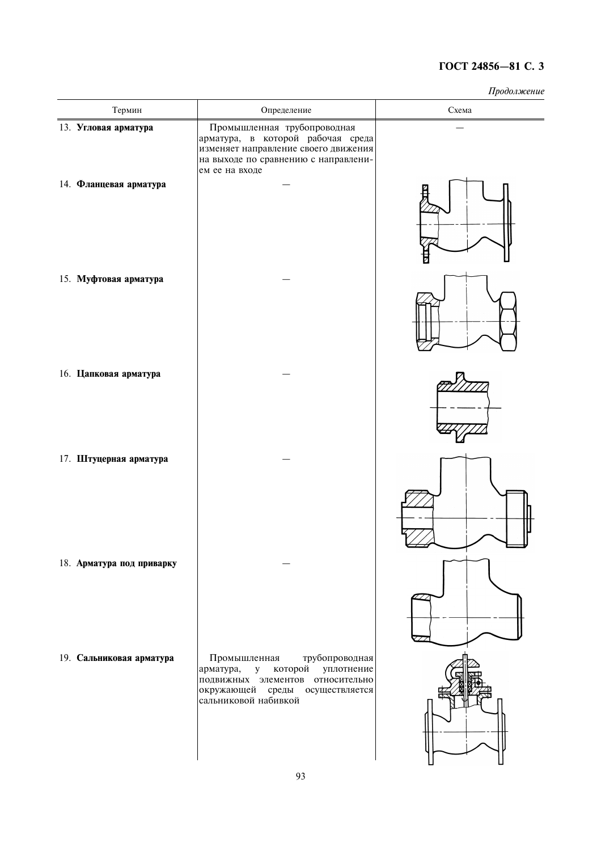| Термин                    | Определение                                                                                                                                                                         | <i>ipoosisi</i> chuc<br>Схема |
|---------------------------|-------------------------------------------------------------------------------------------------------------------------------------------------------------------------------------|-------------------------------|
| 13. Угловая арматура      | Промышленная трубопроводная<br>арматура, в которой рабочая среда<br>изменяет направление своего движения<br>на выходе по сравнению с направлени-<br>ем ее на входе                  |                               |
| 14. Фланцевая арматура    |                                                                                                                                                                                     |                               |
| 15. Муфтовая арматура     |                                                                                                                                                                                     |                               |
| 16. Цапковая арматура     |                                                                                                                                                                                     |                               |
| 17. Штуцерная арматура    |                                                                                                                                                                                     |                               |
| 18. Арматура под приварку |                                                                                                                                                                                     |                               |
| 19. Сальниковая арматура  | Промышленная<br>трубопроводная<br>${\bf y}$<br>арматура,<br>которой<br>уплотнение<br>подвижных элементов относительно<br>окружающей среды<br>осуществляется<br>сальниковой набивкой |                               |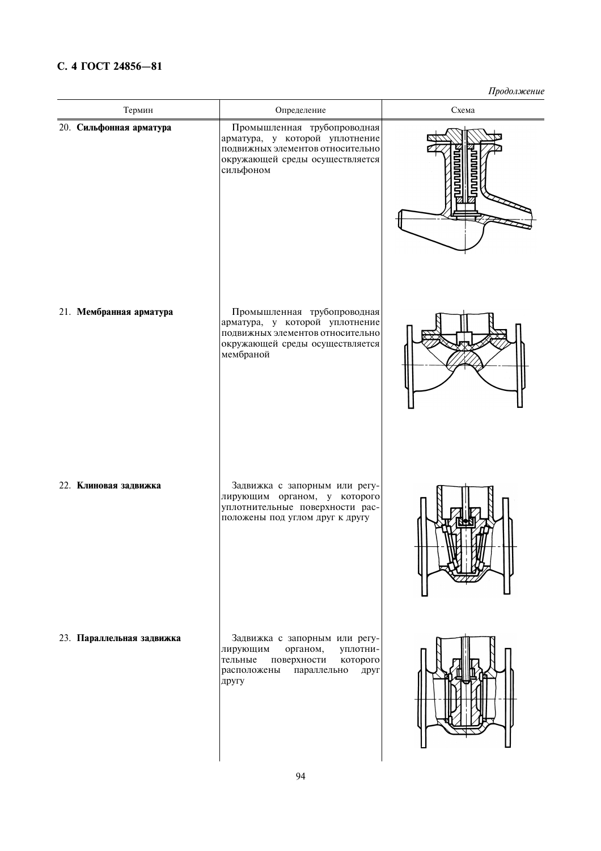# С. 4 ГОСТ 24856-81

| Термин                    | Определение<br>Схема                                                                                                                                   |  |
|---------------------------|--------------------------------------------------------------------------------------------------------------------------------------------------------|--|
| 20. Сильфонная арматура   | Промышленная трубопроводная<br>арматура, у которой уплотнение<br>подвижных элементов относительно<br>окружающей среды осуществляется<br>сильфоном      |  |
| 21. Мембранная арматура   | Промышленная трубопроводная<br>арматура, у которой уплотнение<br>подвижных элементов относительно<br>окружающей среды осуществляется<br>мембраной      |  |
| 22. Клиновая задвижка     | Задвижка с запорным или регу-<br>лирующим органом, у которого<br>уплотнительные поверхности рас-<br>положены под углом друг к другу                    |  |
| 23. Параллельная задвижка | Задвижка с запорным или регу-<br>лирующим<br>органом,<br>уплотни-<br>тельные<br>которого<br>поверхности<br>расположены<br>параллельно<br>друг<br>другу |  |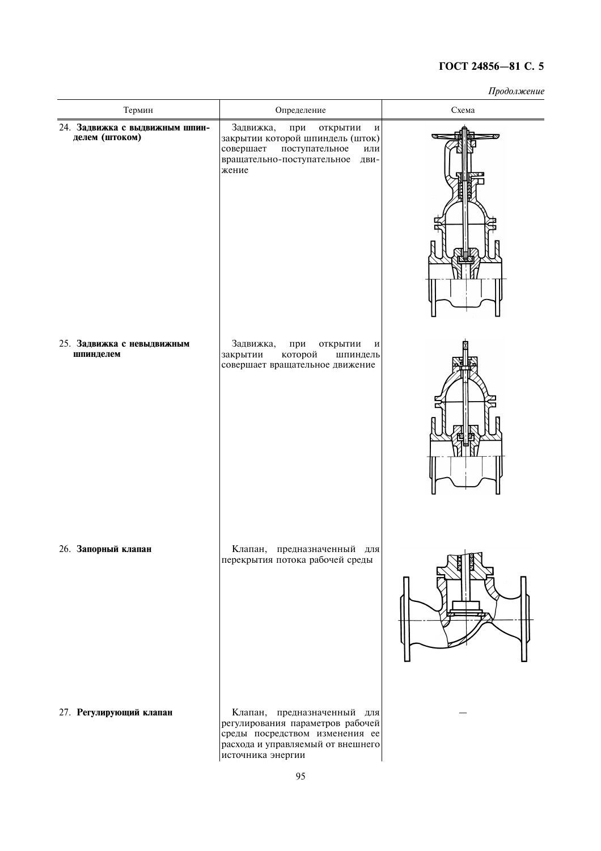| Термин                                           | Определение                                                                                                                                                 | <i>11p000310100111</i><br>Схема |
|--------------------------------------------------|-------------------------------------------------------------------------------------------------------------------------------------------------------------|---------------------------------|
| 24. Задвижка с выдвижным шпин-<br>делем (штоком) | Задвижка,<br>при<br>открытии<br>И<br>закрытии которой шпиндель (шток)<br>совершает<br>поступательное<br>ИЛИ<br>вращательно-поступательное<br>ДВИ-<br>жение  |                                 |
| 25. Задвижка с невыдвижным<br>шпинделем          | Задвижка,<br>при<br>открытии<br>И<br>которой<br>закрытии<br>шпиндель<br>совершает вращательное движение                                                     |                                 |
| 26. Запорный клапан                              | Клапан, предназначенный для<br>перекрытия потока рабочей среды                                                                                              |                                 |
| 27. Регулирующий клапан                          | Клапан, предназначенный для<br>регулирования параметров рабочей<br>среды посредством изменения ее<br>расхода и управляемый от внешнего<br>источника энергии |                                 |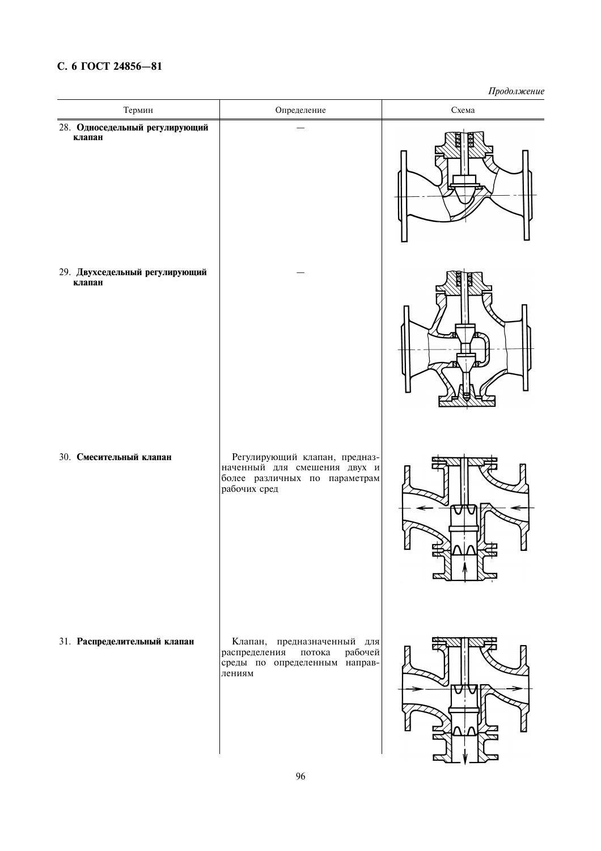# С. 6 ГОСТ 24856-81

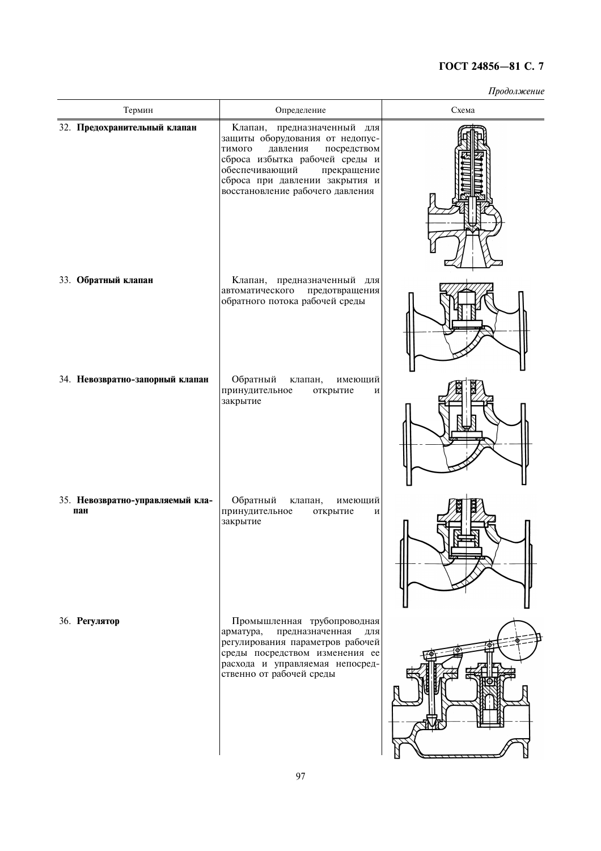| Термин                                  | Определение                                                                                                                                                                                                                                  | Схема |  |  |
|-----------------------------------------|----------------------------------------------------------------------------------------------------------------------------------------------------------------------------------------------------------------------------------------------|-------|--|--|
| 32. Предохранительный клапан            | Клапан, предназначенный для<br>защиты оборудования от недопус-<br>давления<br>посредством<br>тимого<br>сброса избытка рабочей среды и<br>обеспечивающий<br>прекращение<br>сброса при давлении закрытия и<br>восстановление рабочего давления |       |  |  |
| 33. Обратный клапан                     | Клапан, предназначенный для<br>автоматического<br>предотвращения<br>обратного потока рабочей среды                                                                                                                                           |       |  |  |
| 34. Невозвратно-запорный клапан         | Обратный<br>клапан,<br>имеющий<br>принудительное<br>открытие<br>И<br>закрытие                                                                                                                                                                |       |  |  |
| 35. Невозвратно-управляемый кла-<br>пан | Обратный<br>клапан,<br>имеющий<br>принудительное<br>открытие<br>И<br>закрытие                                                                                                                                                                |       |  |  |
| 36. Регулятор                           | Промышленная трубопроводная<br>предназначенная<br>арматура,<br>ДЛЯ<br>регулирования параметров рабочей<br>среды посредством изменения ее<br>расхода и управляемая непосред-<br>ственно от рабочей среды                                      |       |  |  |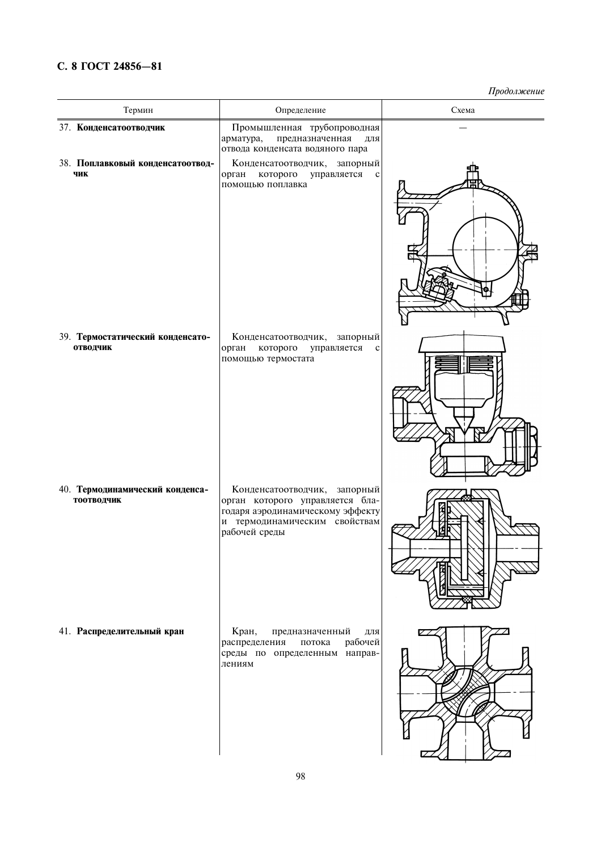# С. 8 ГОСТ 24856-81

| Термин                                        | Определение                                                                                                                                           | Схема |  |
|-----------------------------------------------|-------------------------------------------------------------------------------------------------------------------------------------------------------|-------|--|
| 37. Конденсатоотводчик                        | Промышленная трубопроводная<br>предназначенная<br>арматура,<br>для<br>отвода конденсата водяного пара                                                 |       |  |
| 38. Поплавковый конденсатоотвод-<br>ЧИК       | Конденсатоотводчик, запорный<br>орган<br>которого<br>управляется<br>$\mathbf c$<br>помощью поплавка                                                   |       |  |
| 39. Термостатический конденсато-<br>отводчик  | Конденсатоотводчик,<br>запорный<br>орган<br>которого<br>управляется<br>$\mathbf c$<br>помощью термостата                                              |       |  |
| 40. Термодинамический конденса-<br>тоотводчик | Конденсатоотводчик, запорный<br>орган которого управляется бла-<br>годаря аэродинамическому эффекту<br>и термодинамическим свойствам<br>рабочей среды |       |  |
| 41. Распределительный кран                    | Кран,<br>предназначенный<br>ДЛЯ<br>рабочей<br>распределения<br>потока<br>среды по определенным направ-<br>лениям                                      |       |  |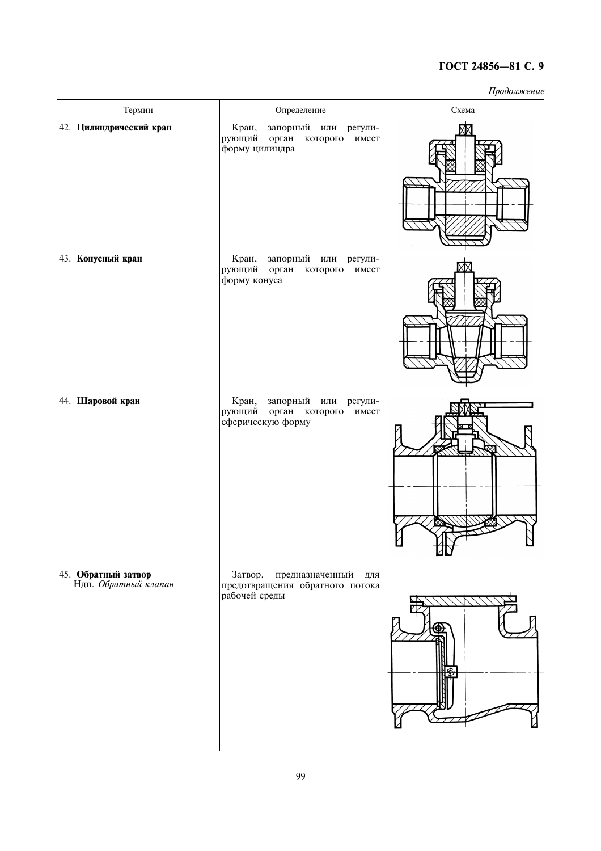| Термин                                      | Определение                                                                                      | Схема |
|---------------------------------------------|--------------------------------------------------------------------------------------------------|-------|
| 42. Цилиндрический кран                     | Кран,<br>запорный или<br>регули-<br>рующий<br>орган<br>которого<br>имеет<br>форму цилиндра       |       |
| 43. Конусный кран                           | Кран,<br>запорный или<br>регули-<br>рующий орган которого<br>имеет<br>форму конуса               |       |
| 44. Шаровой кран                            | Кран,<br>запорный<br>ИЛИ<br>регули-<br>рующий<br>орган<br>которого<br>имеет<br>сферическую форму | שש    |
| 45. Обратный затвор<br>Ндп. Обратный клапан | Затвор,<br>предназначенный<br>ДЛЯ<br>предотвращения обратного потока<br>рабочей среды            |       |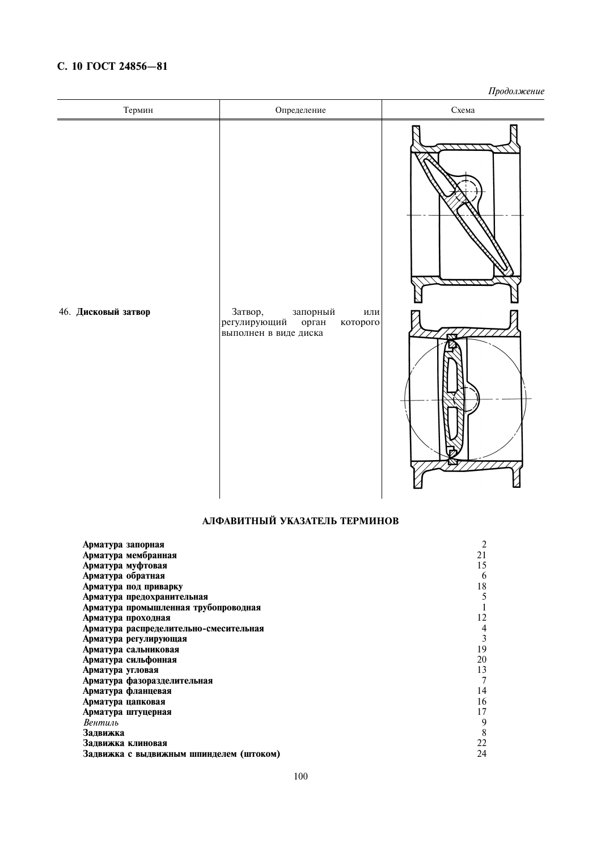# С. 10 ГОСТ 24856-81

Продолжение

| Термин              | Определение                                             | Схема |
|---------------------|---------------------------------------------------------|-------|
| 46. Дисковый затвор | Затвор,<br>запорный<br>или                              |       |
|                     | регулирующий орган<br>которого<br>выполнен в виде диска |       |

# АЛФАВИТНЫЙ УКАЗАТЕЛЬ ТЕРМИНОВ

| Арматура запорная                       | 2              |
|-----------------------------------------|----------------|
| Арматура мембранная                     | 21             |
| Арматура муфтовая                       | 15             |
| Арматура обратная                       | 6              |
| Арматура под приварку                   | 18             |
| Арматура предохранительная              | 5              |
| Арматура промышленная трубопроводная    |                |
| Арматура проходная                      | 12             |
| Арматура распределительно-смесительная  | 4              |
| Арматура регулирующая                   | 3              |
| Арматура сальниковая                    | 19             |
| Арматура сильфонная                     | 20             |
| Арматура угловая                        | 13             |
| Арматура фазоразделительная             | $\overline{7}$ |
| Арматура фланцевая                      | 14             |
| Арматура цапковая                       | 16             |
| Арматура штуцерная                      | 17             |
| Вентиль                                 | 9              |
| Задвижка                                | 8              |
| Задвижка клиновая                       | 22             |
| Задвижка с выдвижным шпинделем (штоком) | 24             |
|                                         |                |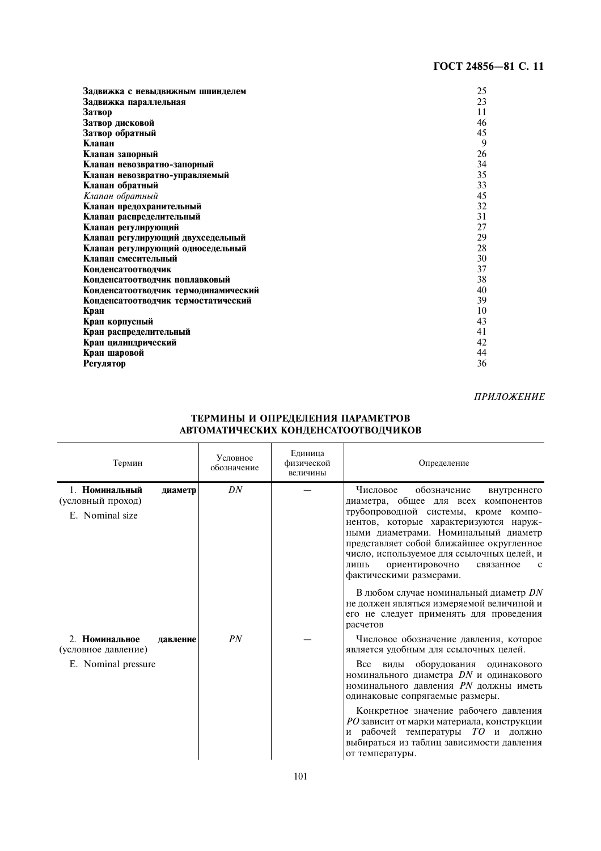| Задвижка с невыдвижным шпинделем     | 25 |
|--------------------------------------|----|
| Задвижка параллельная                | 23 |
| Затвор                               | 11 |
| Затвор дисковой                      | 46 |
| Затвор обратный                      | 45 |
| Клапан                               | 9  |
| Клапан запорный                      | 26 |
| Клапан невозвратно-запорный          | 34 |
| Клапан невозвратно-управляемый       | 35 |
| Клапан обратный                      | 33 |
| Клапан обратный                      | 45 |
| Клапан предохранительный             | 32 |
| Клапан распределительный             | 31 |
| Клапан регулирующий                  | 27 |
| Клапан регулирующий двухседельный    | 29 |
| Клапан регулирующий односедельный    | 28 |
| Клапан смесительный                  | 30 |
| Конденсатоотводчик                   | 37 |
| Конденсатоотводчик поплавковый       | 38 |
| Конденсатоотводчик термодинамический | 40 |
| Конденсатоотводчик термостатический  | 39 |
| Кран                                 | 10 |
| Кран корпусный                       | 43 |
| Кран распределительный               | 41 |
| Кран цилиндрический                  | 42 |
| Кран шаровой                         | 44 |
| <b>Регулятор</b>                     | 36 |

### ПРИЛОЖЕНИЕ

## ТЕРМИНЫ И ОПРЕДЕЛЕНИЯ ПАРАМЕТРОВ АВТОМАТИЧЕСКИХ КОНДЕНСАТООТВОДЧИКОВ

| Термин                                                       |          | Условное<br>обозначение | Елиница<br>физической<br>величины | Определение                                                                                                                                                                                                                                                                                                                                                                          |
|--------------------------------------------------------------|----------|-------------------------|-----------------------------------|--------------------------------------------------------------------------------------------------------------------------------------------------------------------------------------------------------------------------------------------------------------------------------------------------------------------------------------------------------------------------------------|
| 1. Номинальный<br>(условный проход)<br>E. Nominal size       | диаметр  | DN                      |                                   | Числовое<br>обозначение<br>внутреннего<br>диаметра, общее для всех компонентов<br>трубопроводной системы, кроме компо-<br>нентов, которые характеризуются наруж-<br>ными диаметрами. Номинальный диаметр<br>представляет собой ближайшее округленное<br>число, используемое для ссылочных целей, и<br>ориентировочно<br>связанное<br>лишь<br>$\mathbf{c}$<br>фактическими размерами. |
|                                                              |          |                         |                                   | В любом случае номинальный диаметр $DN$<br>не должен являться измеряемой величиной и<br>его не следует применять для проведения<br>расчетов                                                                                                                                                                                                                                          |
| 2. Номинальное<br>(условное давление)<br>E. Nominal pressure | давление | PN                      |                                   | Числовое обозначение давления, которое<br>является удобным для ссылочных целей.<br>виды оборудования одинакового<br>Bce<br>номинального диаметра DN и одинакового<br>номинального давления <i>PN</i> должны иметь<br>одинаковые сопрягаемые размеры.                                                                                                                                 |
|                                                              |          |                         |                                   | Конкретное значение рабочего давления<br>РО зависит от марки материала, конструкции<br>рабочей температуры ТО и должно<br>И<br>выбираться из таблиц зависимости давления<br>от температуры.                                                                                                                                                                                          |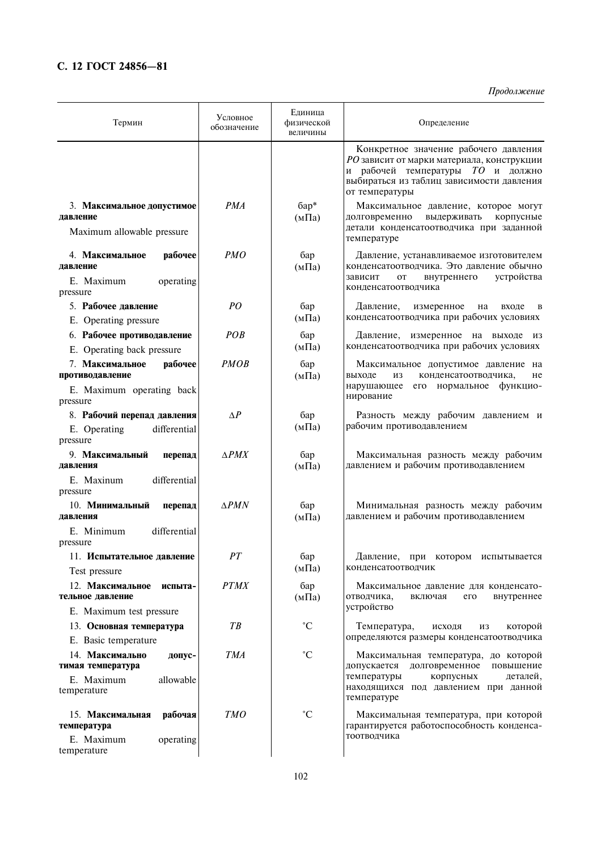# С. 12 ГОСТ 24856-81

| Термин                                                                                 | Условное<br>обозначение | Единица<br>физической<br>величины | Определение                                                                                                                                                                             |
|----------------------------------------------------------------------------------------|-------------------------|-----------------------------------|-----------------------------------------------------------------------------------------------------------------------------------------------------------------------------------------|
|                                                                                        |                         |                                   | Конкретное значение рабочего давления<br>РО зависит от марки материала, конструкции<br>и рабочей температуры ТО и должно<br>выбираться из таблиц зависимости давления<br>от температуры |
| 3. Максимальное допустимое                                                             | PMA                     | $6ap*$                            | Максимальное давление, которое могут                                                                                                                                                    |
| давление                                                                               |                         | $(M\Pi a)$                        | долговременно<br>выдерживать<br>корпусные<br>детали конденсатоотводчика при заданной                                                                                                    |
| Maximum allowable pressure                                                             |                         |                                   | температуре                                                                                                                                                                             |
| 4. Максимальное<br>рабочее<br>лавление<br>E. Maximum<br>operating                      | <i>PMO</i>              | бар<br>$(M\Pi a)$                 | Давление, устанавливаемое изготовителем<br>конденсатоотводчика. Это давление обычно<br>устройства<br>зависит<br>внутреннего<br>OT                                                       |
| pressure                                                                               |                         |                                   | конденсатоотводчика                                                                                                                                                                     |
| 5. Рабочее давление<br>E. Operating pressure                                           | PO                      | бар<br>$(M\Pi a)$                 | Давление,<br>измеренное<br>на<br>входе<br>B<br>конденсатоотводчика при рабочих условиях                                                                                                 |
| 6. Рабочее противодавление<br>E. Operating back pressure                               | POB                     | бар<br>$(M\Pi a)$                 | Давление, измеренное на выходе из<br>конденсатоотводчика при рабочих условиях                                                                                                           |
| 7. Максимальное<br>рабочее<br>противодавление<br>E. Maximum operating back<br>pressure | <b>PMOB</b>             | бар<br>$(M\Pi a)$                 | Максимальное допустимое давление на<br>выходе<br>ИЗ<br>конденсатоотводчика,<br>He<br>нарушающее<br>его нормальное функцио-<br>нирование                                                 |
| 8. Рабочий перепад давления<br>differential<br>E. Operating<br>pressure                | $\Delta P$              | бар<br>$(M\Pi a)$                 | Разность между рабочим давлением и<br>рабочим противодавлением                                                                                                                          |
| 9. Максимальный<br>перепад                                                             | $\triangle PMX$         | бар                               | Максимальная разность между рабочим                                                                                                                                                     |
| давления                                                                               |                         | $(M\Pi a)$                        | давлением и рабочим противодавлением                                                                                                                                                    |
| E. Maxinum<br>differential<br>pressure                                                 |                         |                                   |                                                                                                                                                                                         |
| 10. Минимальный<br>перепад<br>давления                                                 | $\triangle PMN$         | бар<br>$(M\Pi a)$                 | Минимальная разность между рабочим<br>давлением и рабочим противодавлением                                                                                                              |
| E. Minimum<br>differential                                                             |                         |                                   |                                                                                                                                                                                         |
| pressure                                                                               |                         |                                   |                                                                                                                                                                                         |
| 11. Испытательное давление<br>Test pressure                                            | PT                      | бар<br>(мПа)                      | Давление, при котором испытывается<br>конденсатоотводчик                                                                                                                                |
| 12. Максимальное<br>испыта-<br>тельное давление                                        | <b>PTMX</b>             | бар<br>$(M\Pi a)$                 | Максимальное давление для конденсато-<br>отводчика,<br>его<br>включая<br>внутреннее                                                                                                     |
| E. Maximum test pressure                                                               |                         |                                   | устройство                                                                                                                                                                              |
| 13. Основная температура                                                               | $T\mathcal{B}$          | $^{\circ}C$                       | Температура,<br>которой<br>исходя<br>ИЗ<br>определяются размеры конденсатоотводчика                                                                                                     |
| E. Basic temperature                                                                   |                         |                                   |                                                                                                                                                                                         |
| 14. Максимально<br>допус-<br>тимая температура                                         | <b>TMA</b>              | $\rm ^{\circ}C$                   | Максимальная температура, до которой<br>допускается<br>долговременное<br>повышение                                                                                                      |
| E. Maximum<br>allowable<br>temperature                                                 |                         |                                   | температуры<br>корпусных<br>деталей,<br>находящихся под давлением при данной<br>температуре                                                                                             |
| 15. Максимальная<br>рабочая<br>температура                                             | <b>TMO</b>              | $\rm ^{\circ}C$                   | Максимальная температура, при которой<br>гарантируется работоспособность конденса-                                                                                                      |
| E. Maximum<br>operating<br>temperature                                                 |                         |                                   | тоотводчика                                                                                                                                                                             |